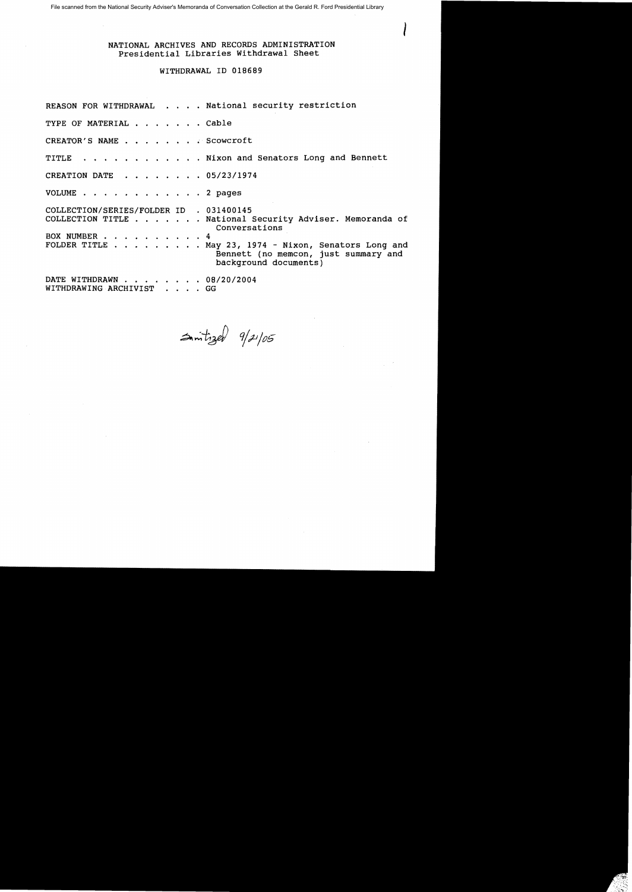File scanned from the National Security Adviser's Memoranda of Conversation Collection at the Gerald R. Ford Presidential Library

NATIONAL ARCHIVES AND RECORDS ADMINISTRATION Presidential Libraries Withdrawal Sheet

I

## WITHDRAWAL ID 018689

REASON FOR WITHDRAWAL . . . . National security restriction TYPE OF MATERIAL . . . . . . Cable CREATOR'S NAME . . . . . . . Scowcroft TITLE . . . . . . . . . . . Nixon and Senators Long and Bennett CREATION DATE . . . . . • OS/23/1974 VOLUME . . . . . . . . . . . . 2 pages COLLECTION/SERIES/FOLDER ID . 031400145 COLLECTION TITLE . . . . . . National Security Adviser. Memoranda of Conversations BOX NUMBER . . . . . . . . . . 4<br>FOLDER TITLE . . . . . . . . . M . . . May 23, 1974 - Nixon, Senators Long and Bennett (no memcon, just summary and background documents) DATE WITHDRAWN . . . . . . . 08/20/2004 WITHDRAWING ARCHIVIST . . . . GG

 $\Rightarrow$  mitzel  $9/2/105$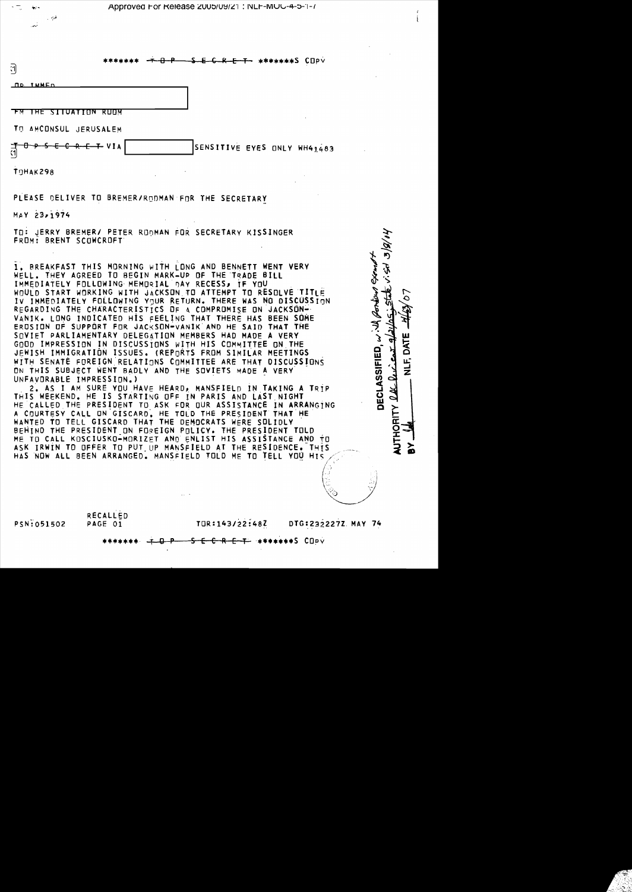|  |  |  |  | /-4-pproved For Release 2005/09/21 : NLF-MUG-4-5-1 |  |  |  |  |  |  |
|--|--|--|--|----------------------------------------------------|--|--|--|--|--|--|
|--|--|--|--|----------------------------------------------------|--|--|--|--|--|--|

| त                            | ******* |                     | $-1 - 8 - 5 - 6 - 8 - 7 - 2$ |                             |
|------------------------------|---------|---------------------|------------------------------|-----------------------------|
| <u>ND IMMED</u>              |         |                     |                              |                             |
| THE SITUATION                | RUOM    |                     |                              | $\sim$                      |
| TO AMCONSUL JERUSALEM        |         |                     |                              |                             |
| $5E$ $6R$ $E$ $T$ $VIA$<br>ন |         |                     |                              | SENSITIVE EYES ONLY WH41483 |
| TOHAK298                     |         | $\bullet$<br>$\sim$ |                              | $\sim$                      |
|                              |         |                     |                              |                             |

PLEASE DELIVER TO BREMER/RODMAN FOR THE SECRETARY

MAY 23,1974

TO: JERRY BREMER/ PETER ROOMAN FOR SECRETARY KISSINGER FROM: BRENT SCOWCROFT

BREAKFAST THIS MORNING WITH LONG AND BENNETT WENT VERY WELL. THEY AGREED TO BEGIN MARK-UP OF THE TRADE BILL IMMEDIATELY FOLLOWING MEMORIAL DAY RECESS, IF YOU WOULD START WORKING WITH JACKSON TO ATTEMPT TO RESOLVE TITLE IV IMMEDIATELY FOLLOWING YOUR RETURN. THERE WAS NO DISCUSSION REGARDING THE CHARACTERISTICS OF A COMPROMISE ON JACKSON-VANIK. LONG INDICATED HIS FEELING THAT THERE HAS BEEN SOME EROSION OF SUPPORT FOR JACKSON-VANIK AND HE SAID THAT THE SQVIET PARLIAMENTARY DELEGATION MEMBERS HAD MADE A VERY GOOD IMPRESSION IN DISCUSSIONS WITH HIS COMMITTEE ON THE JEWISH IMMIGRATION ISSUES. (REPORTS FROM SIMILAR MEETINGS WITH SENATE FOREIGN RELATIONS COMMITTEE ARE THAT DISCUSSIONS ON THIS SUBJECT WENT BADLY AND THE SOVIETS MADE A VERY UNFAVORABLE IMPRESSION.)

2. AS I AM SURE YOU HAVE HEARD, MANSFIELD IN TAKING A TRIP THIS WEEKEND. HE IS STARTING OFF IN PARIS AND LAST NIGHT HE CALLED THE PRESIDENT TO ASK FOR OUR ASSISTANCE IN ARRANGING A COURTESY CALL ON GISCARD. HE TOLD THE PRESIDENT THAT HE WANTED TO TELL GISCARD THAT THE DEMOCRATS WERE SOLIDLY BEHIND THE PRESIDENT ON FOREIGN POLICY. THE PRESIDENT TOLD ME TO CALL KOSCIUSKO-MORIZET AND ENLIST HIS ASSISTANCE AND TO ASK IRWIN TO OFFER TO PUT UP MANSFIELD AT THE RESIDENCE. THIS HAS NOW ALL BEEN ARRANGED. MANSFIELD TOLD ME TO TELL YOU HIS

RECALLED PSN:051502 PAGE 01

TOR:143/22:48Z DTG:232227Z.MAY 74

全物 バル 218

Portun Exem

**DECLASSIFIED.** with

Li<br>Z

 $2462$ 

THORITY

\*\*\*\*\*\*\*S COPV  $\leftarrow$  R  $\leftarrow$  T  $\rightarrow$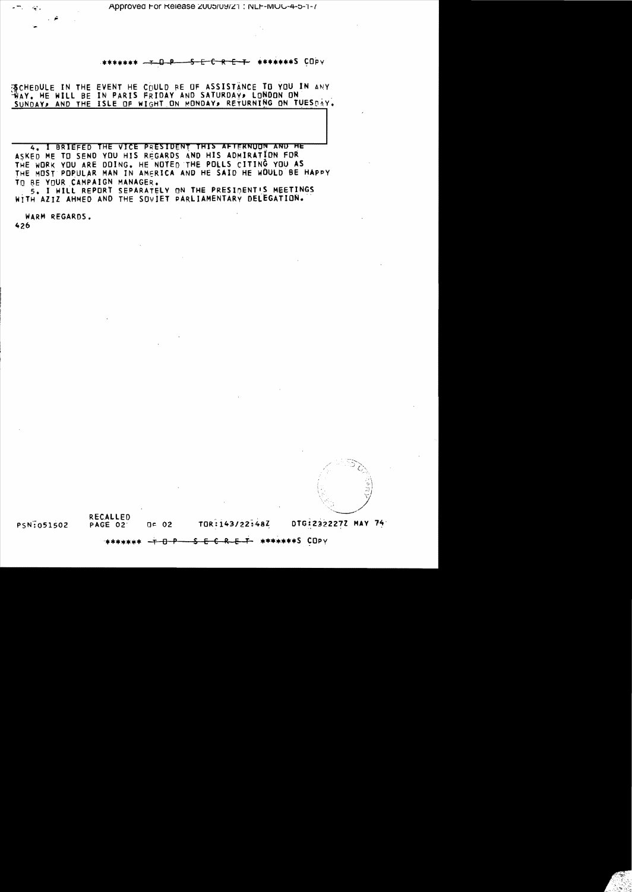## SECRET \*\*\*\*\*\*\*S COPV  $\mathbf{p}$

浙CHEDULE IN THE EVENT HE COULD BE OF ASSISTANCE TO YOU IN ANY WAY. HE WILL BE IN PARIS FRIDAY AND SATURDAY, LONDON ON SUNDAY, AND THE ISLE OF WIGHT ON MONDAY, RETURNING ON TUESDAY.

4. I BRIEFED THE VICE PRESIDENT THIS AFTERNOON AND HE ASKED ME TO SEND YOU HIS REGARDS AND HIS ADMIRATION FOR THE WORK YOU ARE DOING. HE NOTED THE POLLS CITING YOU AS THE MOST POPULAR MAN IN AMFRICA AND HE SAID HE WOULD BE HAPPY TO BE YOUR CAMPAIGN MANAGER.

5. I WILL REPORT SEPARATELY ON THE PRESIDENT'S MEETINGS WITH AZIZ AHMED AND THE SOVIET PARLIAMENTARY DELEGATION.

WARM REGARDS. 426

 $\mathcal{L}_{\text{max}}$  .



PSN:051502

**RECALLED** PAGE 02  $Q = 02$ 

TOR:143/22:48Z

DTG:2322272 MAY 74

 $\theta$   $\theta$   $\theta$ <del>-C R E T </del> ∗\*\*\*\*\*\*\*S COPY E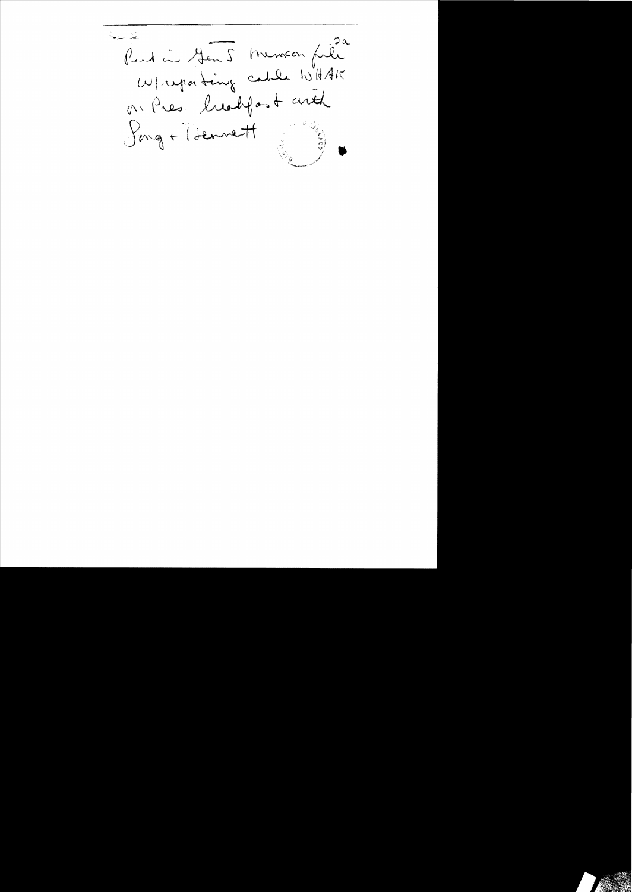يتلب سنية Partin Jen5 memoin file<br>W/regenting cable to HAK on Pres. ludgest and Jong + Tiennett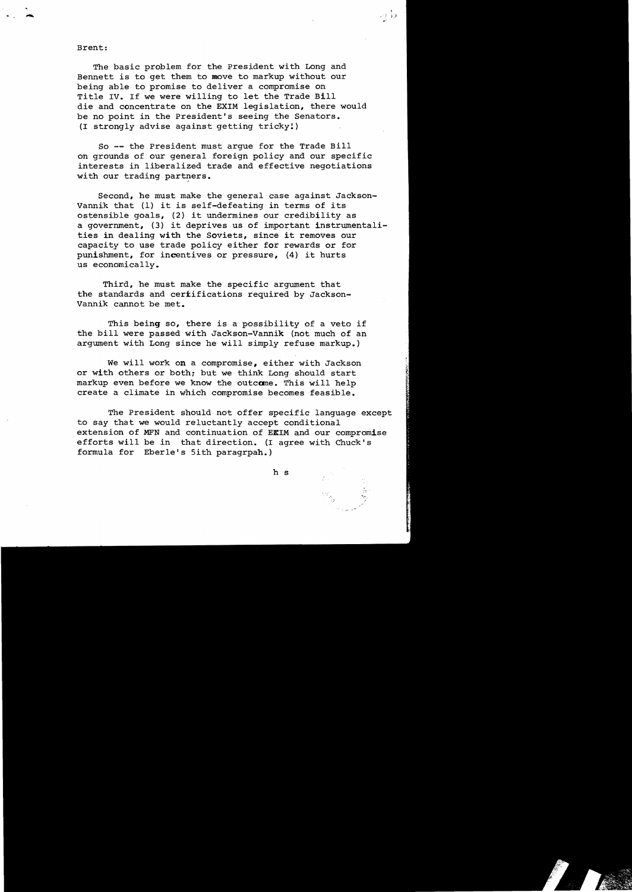## Brent:

The basic problem for the President with Long and Bennett is to get them to move to markup without our being able to promise to deliver a compromise on Title IV. If we were willing to let the Trade Bill die and concentrate on the EXIM legislation, there would be no point in the President's seeing the Senators. (I strongly advise against getting tricky!)

حرا در

So **--** the President must argue for the Trade Bill on grounds of our general foreign policy and our specific interests in liberalized trade and effective negotiations with our trading partners.

Second, he must make the general case against Jackson-Vannik that (1) it is self-defeating in terms of its ostensible goals, (2) it undermines our credibility as a government, (3) it deprives us of important instrumentalities in dealing with the Soviets, since it removes our capacity to use trade policy either for rewards or for punishment, for incentives or pressure, (4) it hurts us economically.

Third, he must make the specific argument that the standards and certifications required by Jackson-Vannik cannot be met.

This being so, there is a possibility of a veto if the bill were passed with Jackson-Vannik (not much of an argument with Long since he will simply refuse markup.)

We will work on a compromise, either with Jackson or with others or both; but we think Long should start markup even before we know the outcome. This will help create a climate in which compromise becomes feasible.

The President should not offer specific language except to say that we would reluctantly accept conditional extension of MFN and continuation of EEIM and our compromise efforts will be in that direction. (I agree with Chuck's formula for Eberle's Sith paragrpah.)

h s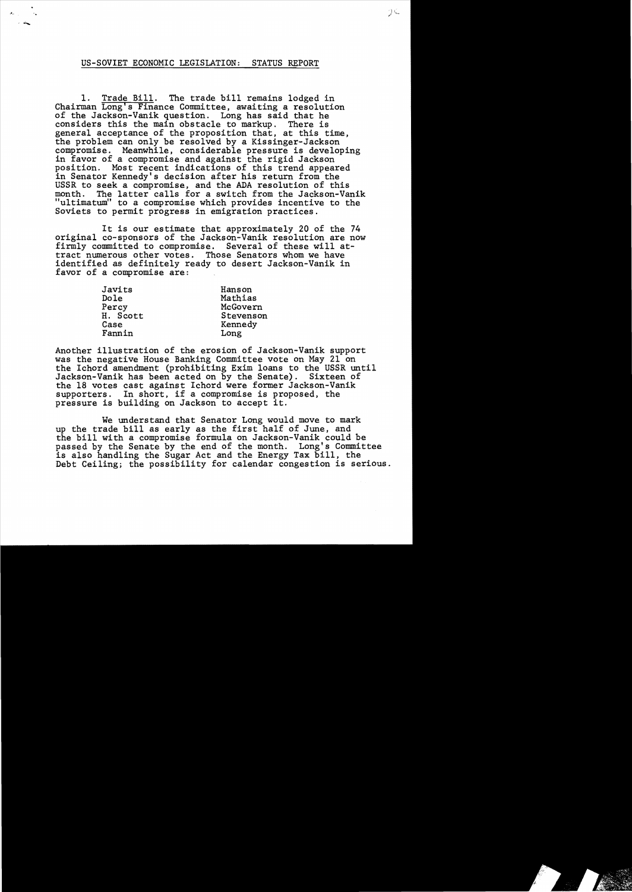## US-SOVIET ECONOMIC LEGISLATION: STATUS REPORT

.' .......

1. Trade Bill. The trade bill remains lodged in Chairman Long's Finance Committee, awaiting a resolution of the Jackson-Vanik question. Long has said that he considers this the main obstacle to markup. There is general acceptance of the proposition that, at this time,<br>the problem can only be resolved by a Kissinger-Jackson compromise. Meanwhile, considerable pressure is developing<br>in favor of a compromise and against the rigid Jackson position. Most recent indications of this trend appeared in Senator Kennedy's decision after his return from the USSR to seek a compromise, and the ADA resolution of this month. The latter calls for a switch from the Jackson-Va The latter calls for a switch from the Jackson-Vanik "ultimatum" to a compromise which provides incentive to the Soviets to permit progress in emigration practices.

It is our estimate that approximately 20 of the 74 original co-sponsors of the Jackson-Vanik resolution are now firmly committed to compromise. Several of these will attract numerous other votes. Those Senators whom we have identified as definitely ready to desert Jackson-Vanik in favor of a compromise are:

| Javits   | Hanson    |
|----------|-----------|
| Dole     | Mathias   |
| Percy    | McGovern  |
| H. Scott | Stevenson |
| Case     | Kennedy   |
| Fannin   | Long      |

Another illustration of the erosion of Jackson-Vanik support was the negative House Banking Committee vote on May 21 on the Ichord amendment (prohibiting Exim loans to the USSR until Jackson-Vanik has been acted on by the Senate). Sixteen of the 18 votes cast against Ichord were former Jackson-Vanik supporters. In short, if a compromise is proposed, the pressure is building on Jackson to accept it.

We understand that Senator Long would move to mark up the trade bill as early as the first half of June, and the bill with a compromise formula on Jackson-Vanik could be passed by the Senate by the end of the month. Long's Committee is also handling the Sugar Act and the Energy Tax bill, the Debt Ceiling; the possibility for calendar congestion is serious.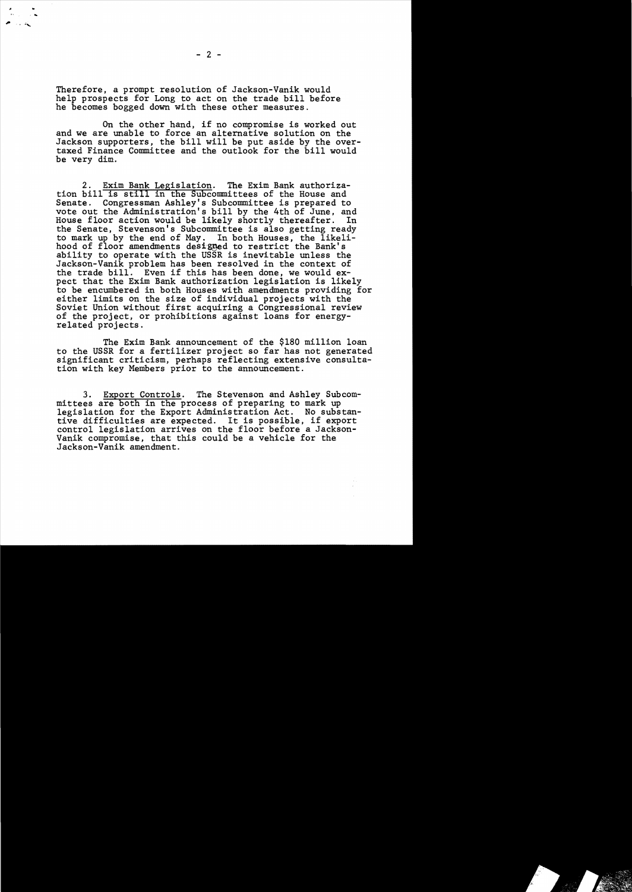Therefore, a prompt resolution of Jackson-Vanik would help prospects for Long to act on the trade bill before he becomes bogged down with these other measures.

On the other hand, if no compromise is worked out and we are unable to force an alternative solution on the Jackson supporters, the bill will be put aside by the overtaxed Finance Committee and the outlook for the bill would be very dim.

2. Exim Bank Legislation. The Exim Bank authorization bill is still in the Subcommittees of the House and Senate. Congressman Ashley's Subcommittee is prepared to vote out the Administration's bill by the 4th of June, and House floor action would be likely shortly thereafter. In the Senate, Stevenson's Subcommittee is also getting ready to mark up by the end of May. In both Houses, the likelihood of floor amendments designed to restrict the Bank's ability to operate with the USSR is inevitable unless the Jackson-Vanik problem has been resolved in the context of the trade bill. Even if this has been done, we would expect that the Exim Bank authorization legislation is likely to be encumbered in both Houses with amendments providing for either limits on the size of individual projects with the Soviet Union without first acquiring a Congressional review of the project, or prohibitions against loans for energy-<br>related projects.

The Exim Bank announcement of the \$180 million loan to the USSR for a fertilizer project so far has not generated significant criticism, perhaps reflecting extensive consultation with key Members prior to the announcement.

3. Export Controls. The Stevenson and Ashley Subcommittees are both in the process of preparing to mark up legislation for the Export Administration Act. No substantive difficulties are expected. It is possible, if export control legislation arrives on the floor before a Jackson-Vanik compromise, that this could be a vehicle for the Jackson-Vanik amendment.